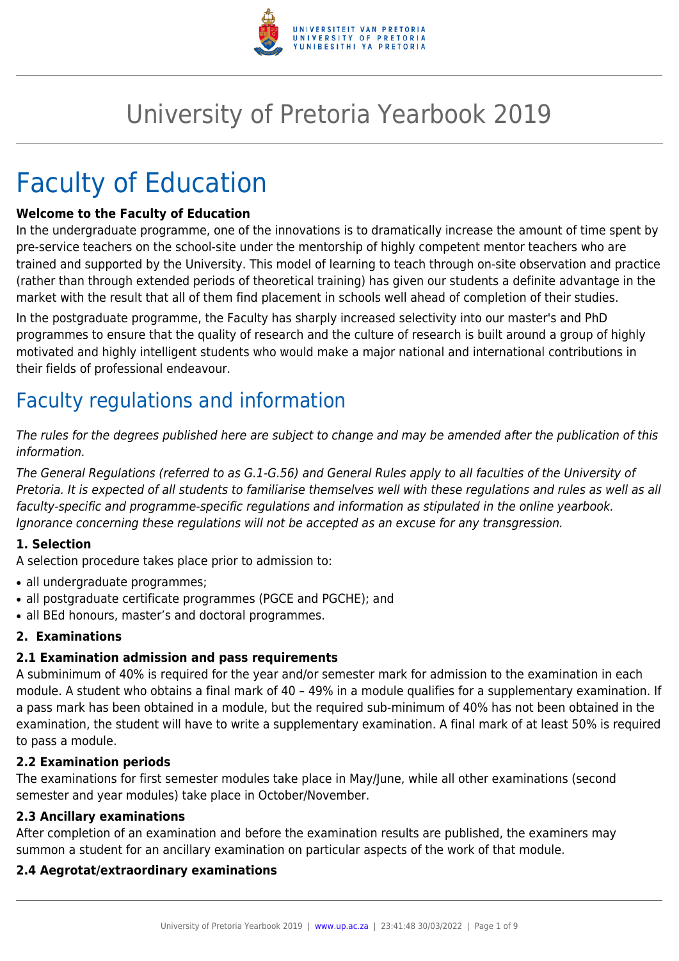

# University of Pretoria Yearbook 2019

# Faculty of Education

#### **Welcome to the Faculty of Education**

In the undergraduate programme, one of the innovations is to dramatically increase the amount of time spent by pre-service teachers on the school-site under the mentorship of highly competent mentor teachers who are trained and supported by the University. This model of learning to teach through on-site observation and practice (rather than through extended periods of theoretical training) has given our students a definite advantage in the market with the result that all of them find placement in schools well ahead of completion of their studies.

In the postgraduate programme, the Faculty has sharply increased selectivity into our master's and PhD programmes to ensure that the quality of research and the culture of research is built around a group of highly motivated and highly intelligent students who would make a major national and international contributions in their fields of professional endeavour.

# Faculty regulations and information

The rules for the degrees published here are subject to change and may be amended after the publication of this information.

The General Regulations (referred to as G.1-G.56) and General Rules apply to all faculties of the University of Pretoria. It is expected of all students to familiarise themselves well with these regulations and rules as well as all faculty-specific and programme-specific regulations and information as stipulated in the online yearbook. Ignorance concerning these regulations will not be accepted as an excuse for any transgression.

#### **1. Selection**

A selection procedure takes place prior to admission to:

- all undergraduate programmes:
- all postgraduate certificate programmes (PGCE and PGCHE); and
- all BEd honours, master's and doctoral programmes.

#### **2. Examinations**

#### **2.1 Examination admission and pass requirements**

A subminimum of 40% is required for the year and/or semester mark for admission to the examination in each module. A student who obtains a final mark of 40 – 49% in a module qualifies for a supplementary examination. If a pass mark has been obtained in a module, but the required sub-minimum of 40% has not been obtained in the examination, the student will have to write a supplementary examination. A final mark of at least 50% is required to pass a module.

#### **2.2 Examination periods**

The examinations for first semester modules take place in May/June, while all other examinations (second semester and year modules) take place in October/November.

#### **2.3 Ancillary examinations**

After completion of an examination and before the examination results are published, the examiners may summon a student for an ancillary examination on particular aspects of the work of that module.

#### **2.4 Aegrotat/extraordinary examinations**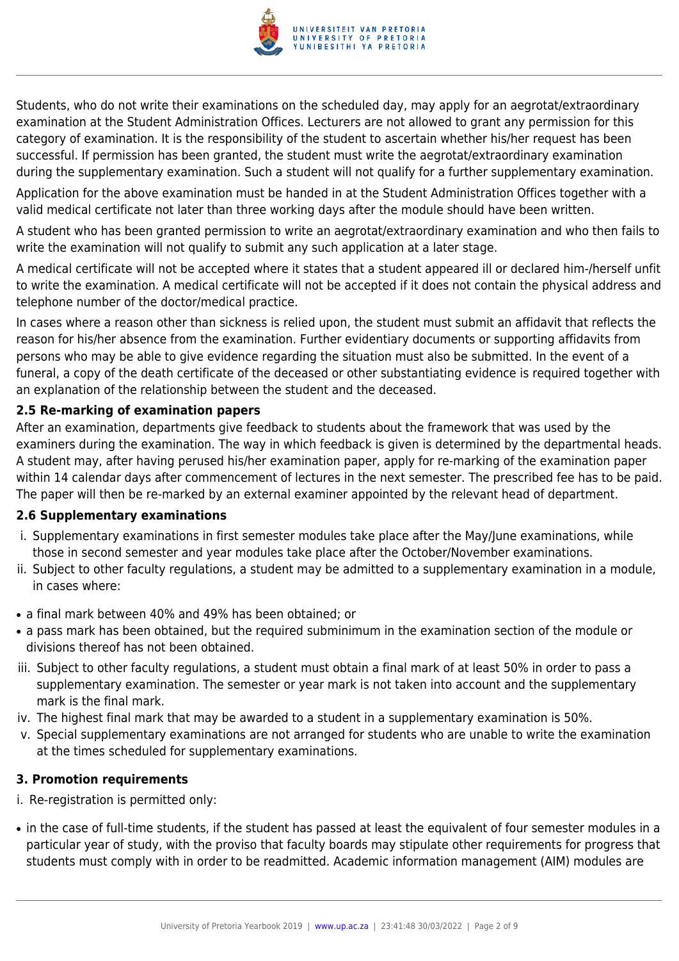

Students, who do not write their examinations on the scheduled day, may apply for an aegrotat/extraordinary examination at the Student Administration Offices. Lecturers are not allowed to grant any permission for this category of examination. It is the responsibility of the student to ascertain whether his/her request has been successful. If permission has been granted, the student must write the aegrotat/extraordinary examination during the supplementary examination. Such a student will not qualify for a further supplementary examination.

Application for the above examination must be handed in at the Student Administration Offices together with a valid medical certificate not later than three working days after the module should have been written.

A student who has been granted permission to write an aegrotat/extraordinary examination and who then fails to write the examination will not qualify to submit any such application at a later stage.

A medical certificate will not be accepted where it states that a student appeared ill or declared him-/herself unfit to write the examination. A medical certificate will not be accepted if it does not contain the physical address and telephone number of the doctor/medical practice.

In cases where a reason other than sickness is relied upon, the student must submit an affidavit that reflects the reason for his/her absence from the examination. Further evidentiary documents or supporting affidavits from persons who may be able to give evidence regarding the situation must also be submitted. In the event of a funeral, a copy of the death certificate of the deceased or other substantiating evidence is required together with an explanation of the relationship between the student and the deceased.

#### **2.5 Re-marking of examination papers**

After an examination, departments give feedback to students about the framework that was used by the examiners during the examination. The way in which feedback is given is determined by the departmental heads. A student may, after having perused his/her examination paper, apply for re-marking of the examination paper within 14 calendar days after commencement of lectures in the next semester. The prescribed fee has to be paid. The paper will then be re-marked by an external examiner appointed by the relevant head of department.

#### **2.6 Supplementary examinations**

- i. Supplementary examinations in first semester modules take place after the May/June examinations, while those in second semester and year modules take place after the October/November examinations.
- ii. Subject to other faculty regulations, a student may be admitted to a supplementary examination in a module, in cases where:
- a final mark between 40% and 49% has been obtained; or
- a pass mark has been obtained, but the required subminimum in the examination section of the module or divisions thereof has not been obtained.
- iii. Subject to other faculty regulations, a student must obtain a final mark of at least 50% in order to pass a supplementary examination. The semester or year mark is not taken into account and the supplementary mark is the final mark.
- iv. The highest final mark that may be awarded to a student in a supplementary examination is 50%.
- v. Special supplementary examinations are not arranged for students who are unable to write the examination at the times scheduled for supplementary examinations.

#### **3. Promotion requirements**

- i. Re-registration is permitted only:
- in the case of full-time students, if the student has passed at least the equivalent of four semester modules in a particular year of study, with the proviso that faculty boards may stipulate other requirements for progress that students must comply with in order to be readmitted. Academic information management (AIM) modules are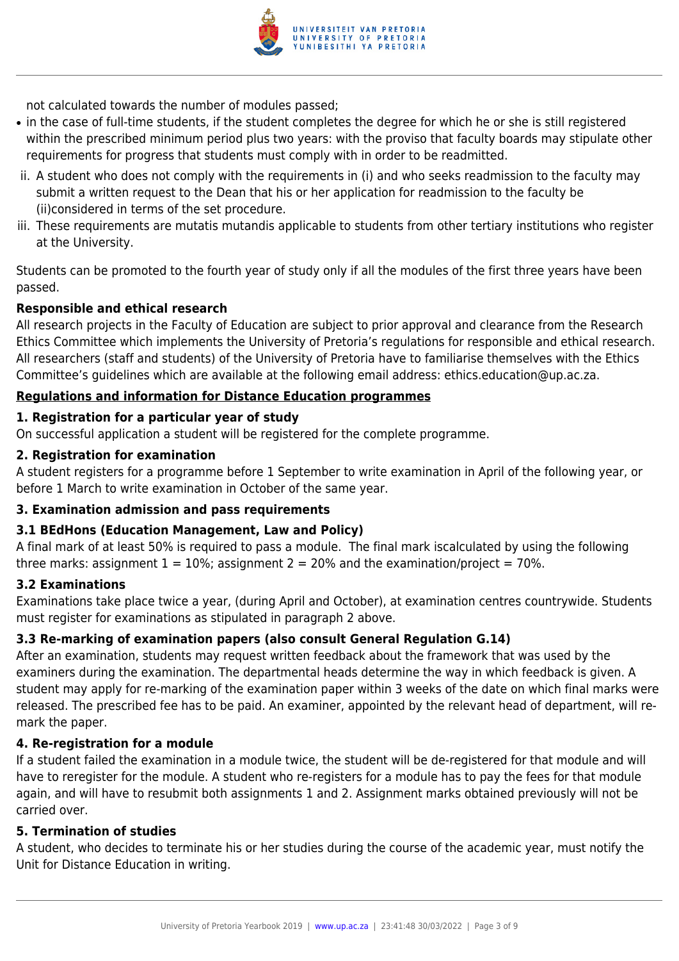

not calculated towards the number of modules passed;

- in the case of full-time students, if the student completes the degree for which he or she is still registered within the prescribed minimum period plus two years: with the proviso that faculty boards may stipulate other requirements for progress that students must comply with in order to be readmitted.
- ii. A student who does not comply with the requirements in (i) and who seeks readmission to the faculty may submit a written request to the Dean that his or her application for readmission to the faculty be (ii)considered in terms of the set procedure.
- iii. These requirements are mutatis mutandis applicable to students from other tertiary institutions who register at the University.

Students can be promoted to the fourth year of study only if all the modules of the first three years have been passed.

#### **Responsible and ethical research**

All research projects in the Faculty of Education are subject to prior approval and clearance from the Research Ethics Committee which implements the University of Pretoria's regulations for responsible and ethical research. All researchers (staff and students) of the University of Pretoria have to familiarise themselves with the Ethics Committee's guidelines which are available at the following email address: ethics.education@up.ac.za.

#### **Regulations and information for Distance Education programmes**

#### **1. Registration for a particular year of study**

On successful application a student will be registered for the complete programme.

#### **2. Registration for examination**

A student registers for a programme before 1 September to write examination in April of the following year, or before 1 March to write examination in October of the same year.

#### **3. Examination admission and pass requirements**

#### **3.1 BEdHons (Education Management, Law and Policy)**

A final mark of at least 50% is required to pass a module. The final mark iscalculated by using the following three marks: assignment  $1 = 10\%$ ; assignment  $2 = 20\%$  and the examination/project = 70%.

#### **3.2 Examinations**

Examinations take place twice a year, (during April and October), at examination centres countrywide. Students must register for examinations as stipulated in paragraph 2 above.

#### **3.3 Re-marking of examination papers (also consult General Regulation G.14)**

After an examination, students may request written feedback about the framework that was used by the examiners during the examination. The departmental heads determine the way in which feedback is given. A student may apply for re-marking of the examination paper within 3 weeks of the date on which final marks were released. The prescribed fee has to be paid. An examiner, appointed by the relevant head of department, will remark the paper.

#### **4. Re-registration for a module**

If a student failed the examination in a module twice, the student will be de-registered for that module and will have to reregister for the module. A student who re-registers for a module has to pay the fees for that module again, and will have to resubmit both assignments 1 and 2. Assignment marks obtained previously will not be carried over.

#### **5. Termination of studies**

A student, who decides to terminate his or her studies during the course of the academic year, must notify the Unit for Distance Education in writing.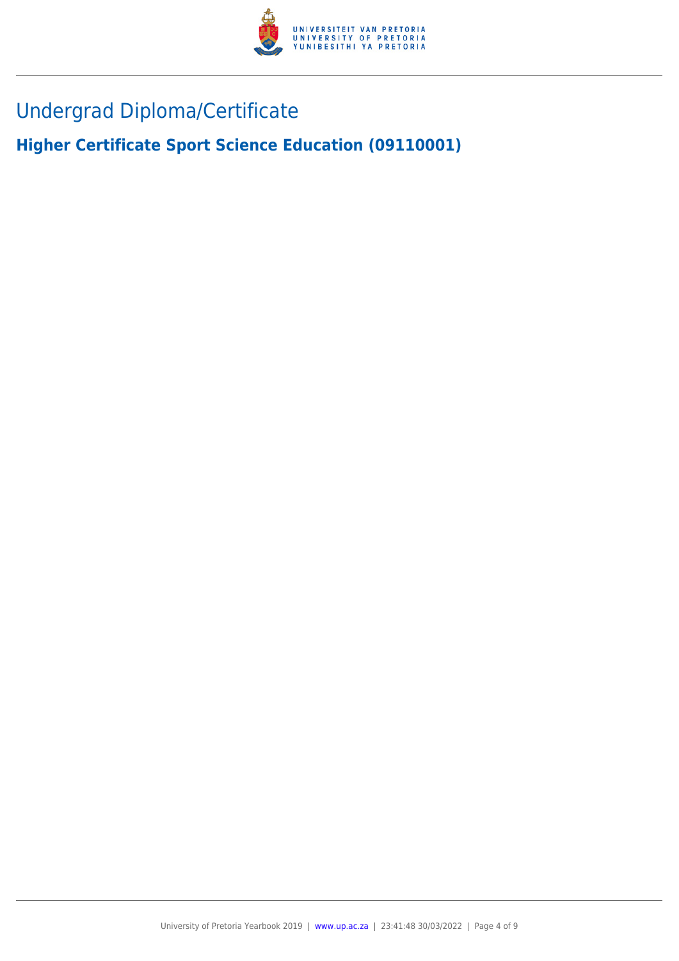

# Undergrad Diploma/Certificate

**Higher Certificate Sport Science Education (09110001)**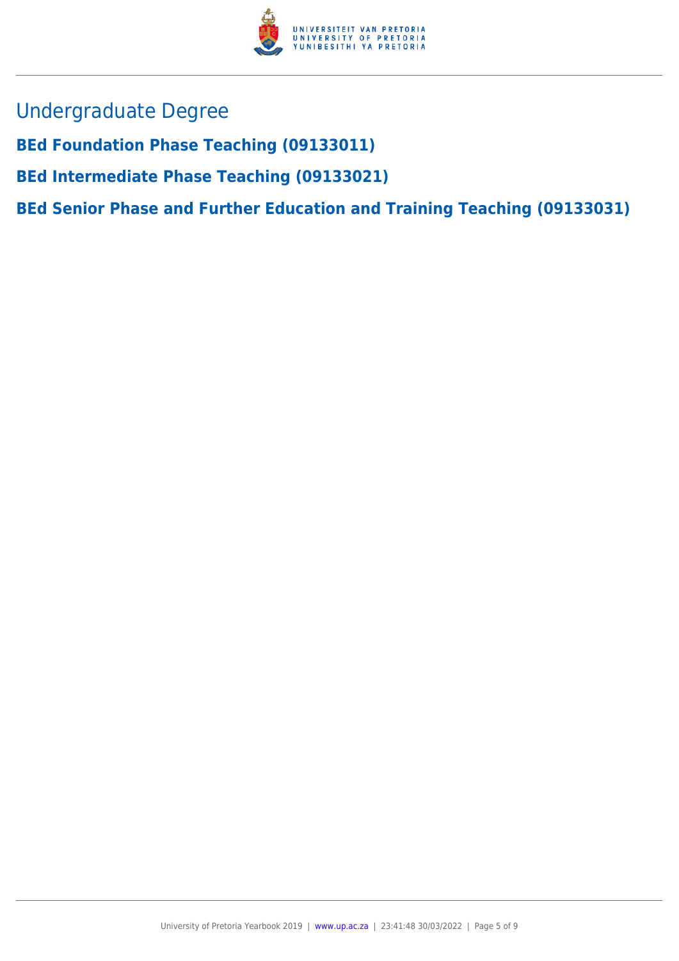

- Undergraduate Degree
- **BEd Foundation Phase Teaching (09133011)**
- **BEd Intermediate Phase Teaching (09133021)**
- **BEd Senior Phase and Further Education and Training Teaching (09133031)**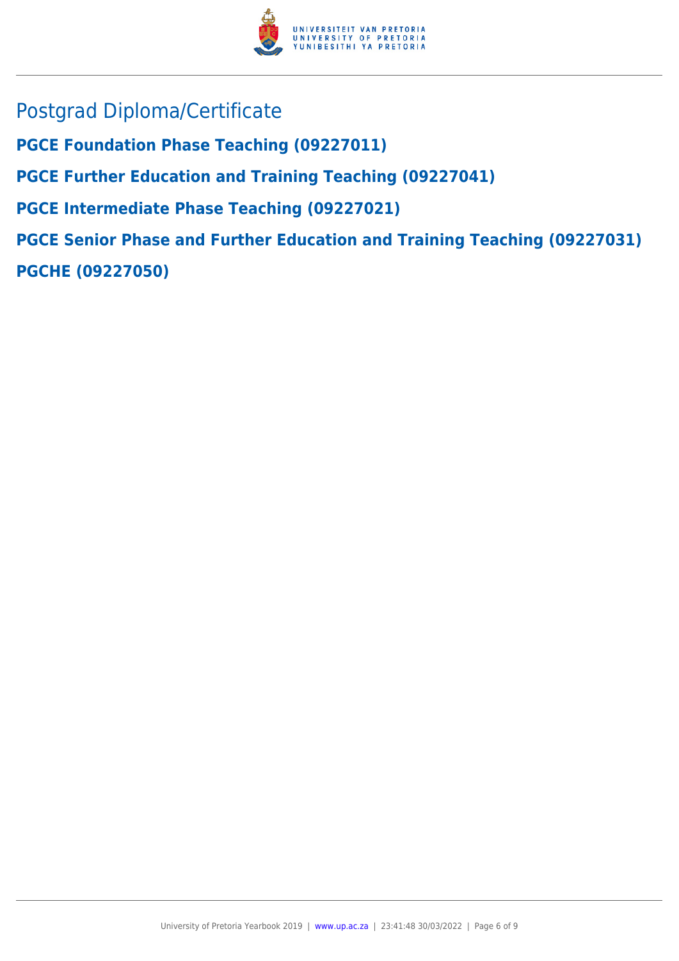

- Postgrad Diploma/Certificate
- **PGCE Foundation Phase Teaching (09227011)**
- **PGCE Further Education and Training Teaching (09227041)**
- **PGCE Intermediate Phase Teaching (09227021)**

**PGCE Senior Phase and Further Education and Training Teaching (09227031) PGCHE (09227050)**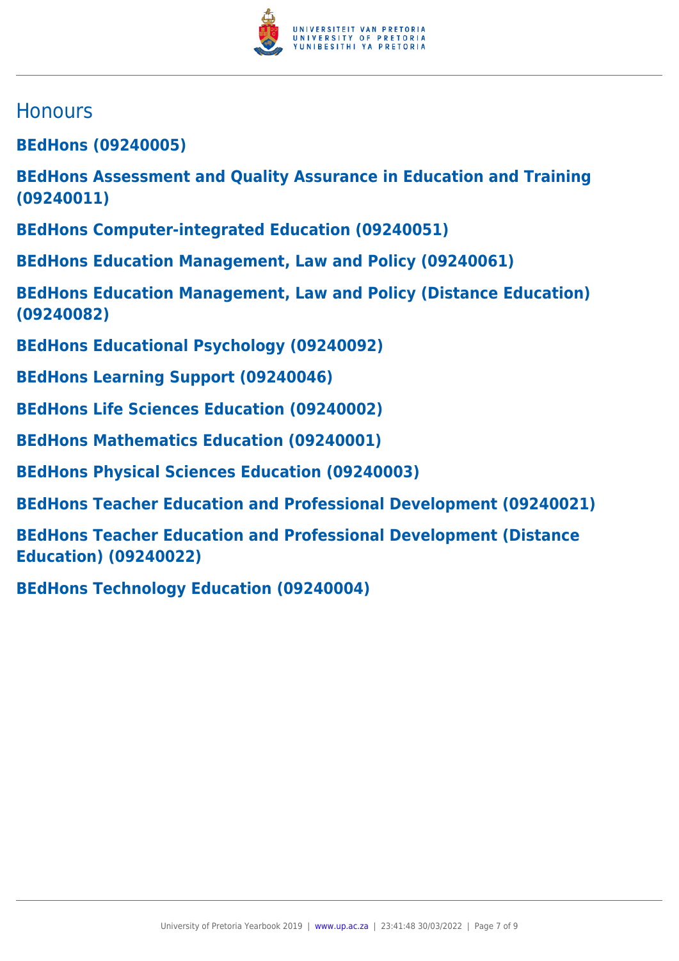

## **Honours**

**BEdHons (09240005)**

**BEdHons Assessment and Quality Assurance in Education and Training (09240011)**

**BEdHons Computer-integrated Education (09240051)**

**BEdHons Education Management, Law and Policy (09240061)**

**BEdHons Education Management, Law and Policy (Distance Education) (09240082)**

- **BEdHons Educational Psychology (09240092)**
- **BEdHons Learning Support (09240046)**
- **BEdHons Life Sciences Education (09240002)**
- **BEdHons Mathematics Education (09240001)**
- **BEdHons Physical Sciences Education (09240003)**
- **BEdHons Teacher Education and Professional Development (09240021)**

**BEdHons Teacher Education and Professional Development (Distance Education) (09240022)**

**BEdHons Technology Education (09240004)**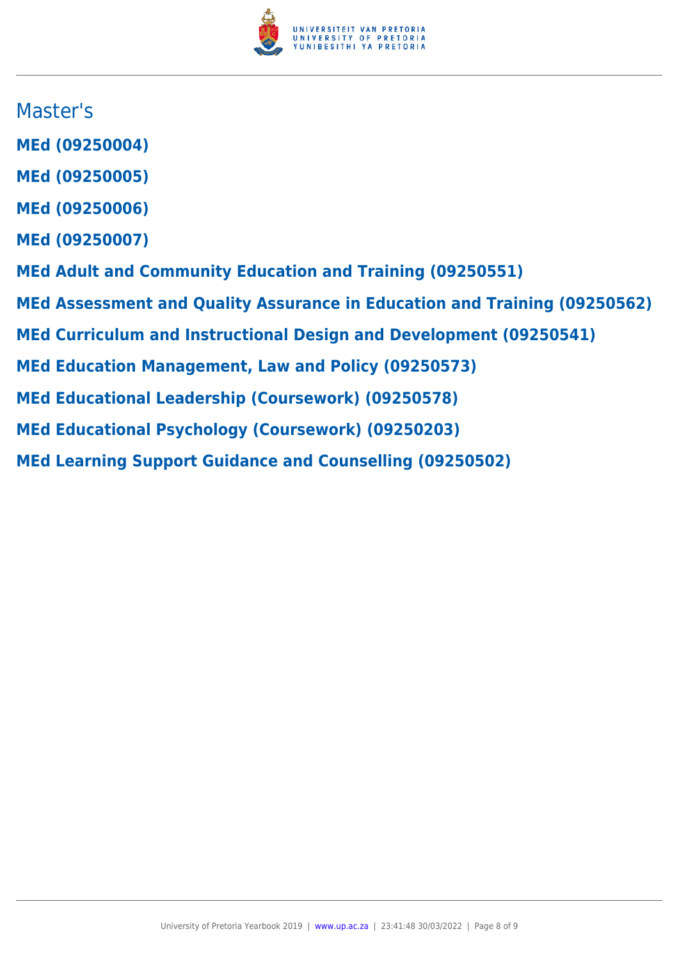

## Master's

- **MEd (09250004)**
- **MEd (09250005)**
- **MEd (09250006)**
- **MEd (09250007)**
- **MEd Adult and Community Education and Training (09250551)**
- **MEd Assessment and Quality Assurance in Education and Training (09250562)**
- **MEd Curriculum and Instructional Design and Development (09250541)**
- **MEd Education Management, Law and Policy (09250573)**
- **MEd Educational Leadership (Coursework) (09250578)**
- **MEd Educational Psychology (Coursework) (09250203)**
- **MEd Learning Support Guidance and Counselling (09250502)**